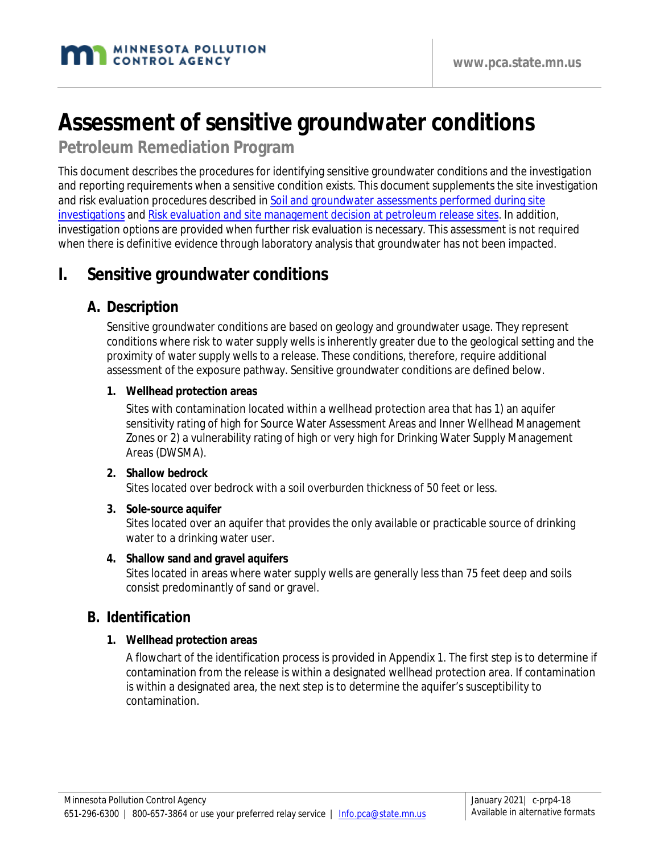

# **Assessment of sensitive groundwater conditions**

**Petroleum Remediation Program**

This document describes the procedures for identifying sensitive groundwater conditions and the investigation and reporting requirements when a sensitive condition exists. This document supplements the site investigation and risk evaluation procedures described in Soil and groundwater assessments performed during site [investigations](https://www.pca.state.mn.us/sites/default/files/c-prp4-01.pdf) an[d Risk evaluation and site management decision at petroleum release sites.](https://www.pca.state.mn.us/sites/default/files/c-prp4-02.pdf) In addition, investigation options are provided when further risk evaluation is necessary. This assessment is not required when there is definitive evidence through laboratory analysis that groundwater has not been impacted.

## **I. Sensitive groundwater conditions**

### **A. Description**

Sensitive groundwater conditions are based on geology and groundwater usage. They represent conditions where risk to water supply wells is inherently greater due to the geological setting and the proximity of water supply wells to a release. These conditions, therefore, require additional assessment of the exposure pathway. Sensitive groundwater conditions are defined below.

#### **1. Wellhead protection areas**

Sites with contamination located within a wellhead protection area that has 1) an aquifer sensitivity rating of high for Source Water Assessment Areas and Inner Wellhead Management Zones or 2) a vulnerability rating of high or very high for Drinking Water Supply Management Areas (DWSMA).

#### **2. Shallow bedrock**

Sites located over bedrock with a soil overburden thickness of 50 feet or less.

#### **3. Sole-source aquifer**

Sites located over an aquifer that provides the only available or practicable source of drinking water to a drinking water user.

#### **4. Shallow sand and gravel aquifers**

Sites located in areas where water supply wells are generally less than 75 feet deep and soils consist predominantly of sand or gravel.

### **B. Identification**

#### **1. Wellhead protection areas**

A flowchart of the identification process is provided in Appendix 1. The first step is to determine if contamination from the release is within a designated wellhead protection area. If contamination is within a designated area, the next step is to determine the aquifer's susceptibility to contamination.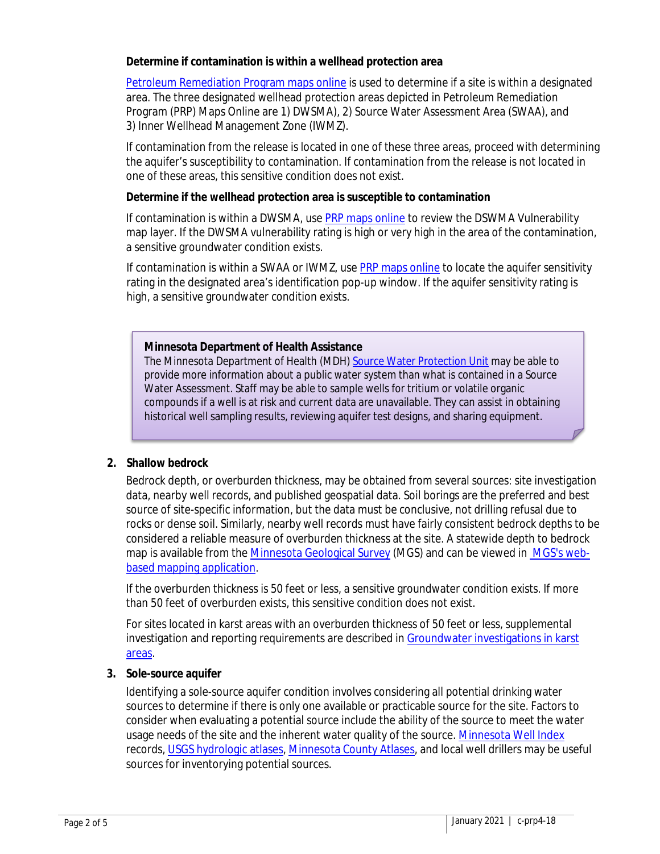#### **Determine if contamination is within a wellhead protection area**

[Petroleum Remediation Program maps online](http://pca-gis02.pca.state.mn.us/prp/index.html) is used to determine if a site is within a designated area. The three designated wellhead protection areas depicted in Petroleum Remediation Program (PRP) Maps Online are 1) DWSMA), 2) Source Water Assessment Area (SWAA), and 3) Inner Wellhead Management Zone (IWMZ).

If contamination from the release is located in one of these three areas, proceed with determining the aquifer's susceptibility to contamination. If contamination from the release is not located in one of these areas, this sensitive condition does not exist.

#### **Determine if the wellhead protection area is susceptible to contamination**

If contamination is within a DWSMA, use [PRP maps online](http://pca-gis02.pca.state.mn.us/prp/index.html) to review the DSWMA Vulnerability map layer. If the DWSMA vulnerability rating is high or very high in the area of the contamination, a sensitive groundwater condition exists.

If contamination is within a SWAA or IWMZ, use [PRP maps online](http://pca-gis02.pca.state.mn.us/prp/index.html) to locate the aquifer sensitivity rating in the designated area's identification pop-up window. If the aquifer sensitivity rating is high, a sensitive groundwater condition exists.

#### **Minnesota Department of Health Assistance**

The Minnesota Department of Health (MDH) [Source Water Protection Unit](https://www.health.state.mn.us/communities/environment/water/swp/index.htm) may be able to provide more information about a public water system than what is contained in a Source Water Assessment. Staff may be able to sample wells for tritium or volatile organic compounds if a well is at risk and current data are unavailable. They can assist in obtaining historical well sampling results, reviewing aquifer test designs, and sharing equipment.

#### **2. Shallow bedrock**

Bedrock depth, or overburden thickness, may be obtained from several sources: site investigation data, nearby well records, and published geospatial data. Soil borings are the preferred and best source of site-specific information, but the data must be conclusive, not drilling refusal due to rocks or dense soil. Similarly, nearby well records must have fairly consistent bedrock depths to be considered a reliable measure of overburden thickness at the site. A statewide depth to bedrock map is available from the [Minnesota Geological Survey](http://www.mngs.umn.edu/index.html) (MGS) and can be viewed in [MGS's web](https://umn.maps.arcgis.com/apps/StorytellingSwipe/index.html?appid=c36a3951cc174e6f9bdee7514b11b7e7)[based mapping application.](https://umn.maps.arcgis.com/apps/StorytellingSwipe/index.html?appid=c36a3951cc174e6f9bdee7514b11b7e7)

If the overburden thickness is 50 feet or less, a sensitive groundwater condition exists. If more than 50 feet of overburden exists, this sensitive condition does not exist.

For sites located in karst areas with an overburden thickness of 50 feet or less, supplemental investigation and reporting requirements are described in Groundwater investigations in karst [areas.](https://www.pca.state.mn.us/sites/default/files/c-prp4-09.pdf)

#### **3. Sole-source aquifer**

Identifying a sole-source aquifer condition involves considering all potential drinking water sources to determine if there is only one available or practicable source for the site. Factors to consider when evaluating a potential source include the ability of the source to meet the water usage needs of the site and the inherent water quality of the source[. Minnesota Well Index](https://mnwellindex.web.health.state.mn.us/) records, [USGS hydrologic atlases,](http://mn.water.usgs.gov/publications/) [Minnesota County Atlases,](https://cse.umn.edu/mgs/county-geologic-atlas) and local well drillers may be useful sources for inventorying potential sources.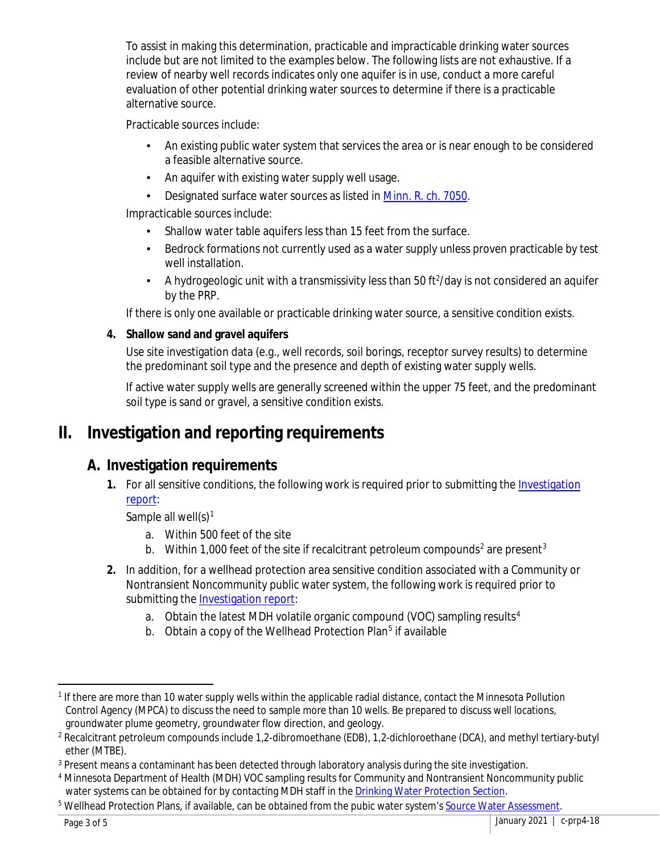To assist in making this determination, practicable and impracticable drinking water sources include but are not limited to the examples below. The following lists are not exhaustive. If a review of nearby well records indicates only one aquifer is in use, conduct a more careful evaluation of other potential drinking water sources to determine if there is a practicable alternative source.

Practicable sources include:

- t, An existing public water system that services the area or is near enough to be considered a feasible alternative source.
- An aquifer with existing water supply well usage.
- Designated surface water sources as listed i[n Minn. R. ch. 7050.](https://www.revisor.mn.gov/rules/?id=7050)

Impracticable sources include:

- Shallow water table aquifers less than 15 feet from the surface.
- Bedrock formations not currently used as a water supply unless proven practicable by test well installation.
- A hydrogeologic unit with a transmissivity less than 50 ft<sup>2</sup>/day is not considered an aquifer  $\mathcal{L}^{\text{max}}$ by the PRP.

If there is only one available or practicable drinking water source, a sensitive condition exists.

### **4. Shallow sand and gravel aquifers**

Use site investigation data (e.g., well records, soil borings, receptor survey results) to determine the predominant soil type and the presence and depth of existing water supply wells.

If active water supply wells are generally screened within the upper 75 feet, and the predominant soil type is sand or gravel, a sensitive condition exists.

## **II. Investigation and reporting requirements**

## **A. Investigation requirements**

**1.** For all sensitive conditions, the following work is required prior to submitting the *Investigation* [report:](https://www.pca.state.mn.us/sites/default/files/c-prp4-06.doc)

Sample all well(s) $<sup>1</sup>$  $<sup>1</sup>$  $<sup>1</sup>$ </sup>

- a. Within 500 feet of the site
- b. Within 1,000 feet of the site if recalcitrant petroleum compounds<sup>[2](#page-2-1)</sup> are present<sup>[3](#page-2-2)</sup>
- **2.** In addition, for a wellhead protection area sensitive condition associated with a Community or Nontransient Noncommunity public water system, the following work is required prior to submitting the **Investigation report:** 
	- a. Obtain the latest MDH volatile organic compound (VOC) sampling results<sup>[4](#page-2-3)</sup>
	- b. Obtain a copy of the Wellhead Protection Plan<sup>[5](#page-2-4)</sup> if available

<span id="page-2-0"></span><sup>&</sup>lt;sup>1</sup> If there are more than 10 water supply wells within the applicable radial distance, contact the Minnesota Pollution Control Agency (MPCA) to discuss the need to sample more than 10 wells. Be prepared to discuss well locations, groundwater plume geometry, groundwater flow direction, and geology.

<span id="page-2-1"></span><sup>2</sup> Recalcitrant petroleum compounds include 1,2-dibromoethane (EDB), 1,2-dichloroethane (DCA), and methyl *tertiary*-butyl ether (MTBE).

<span id="page-2-2"></span><sup>&</sup>lt;sup>3</sup> Present means a contaminant has been detected through laboratory analysis during the site investigation.

<span id="page-2-3"></span><sup>4</sup> Minnesota Department of Health (MDH) VOC sampling results for Community and Nontransient Noncommunity public water systems can be obtained for by contacting MDH staff in th[e Drinking Water Protection Section.](https://www.health.state.mn.us/communities/environment/water/dwp.html)

<span id="page-2-4"></span><sup>5</sup> Wellhead Protection Plans, if available, can be obtained from the pubic water system'[s Source Water Assessment.](https://www.health.state.mn.us/communities/environment/water/swp/swa.html)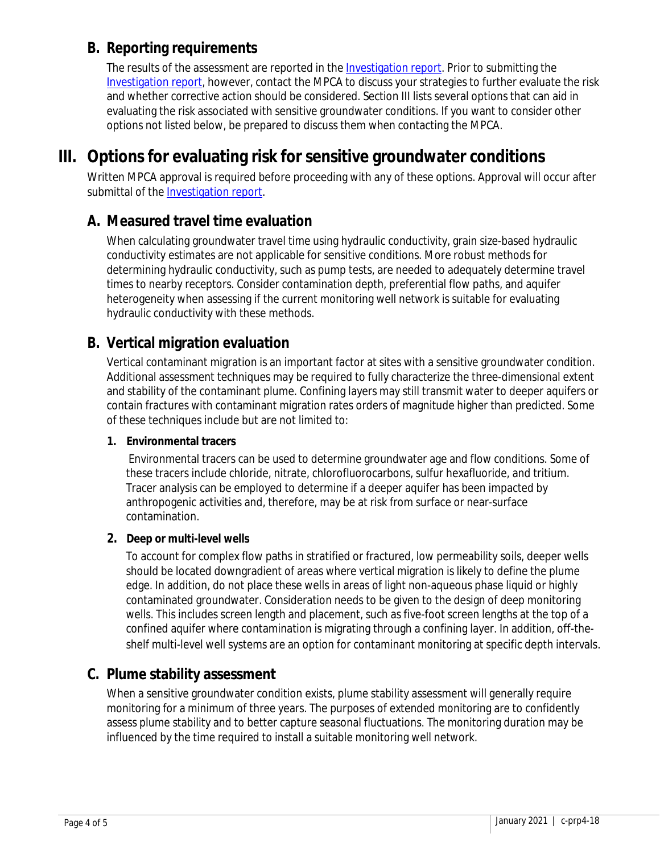## **B. Reporting requirements**

The results of the assessment are reported in the [Investigation report.](https://www.pca.state.mn.us/sites/default/files/c-prp4-06.doc) Prior to submitting the [Investigation report,](https://www.pca.state.mn.us/sites/default/files/c-prp4-06.doc) however, contact the MPCA to discuss your strategies to further evaluate the risk and whether corrective action should be considered. Section III lists several options that can aid in evaluating the risk associated with sensitive groundwater conditions. If you want to consider other options not listed below, be prepared to discuss them when contacting the MPCA.

## **III. Options for evaluating risk for sensitive groundwater conditions**

Written MPCA approval is required before proceeding with any of these options. Approval will occur after submittal of the [Investigation report.](https://www.pca.state.mn.us/sites/default/files/c-prp4-06.doc)

### **A. Measured travel time evaluation**

When calculating groundwater travel time using hydraulic conductivity, grain size-based hydraulic conductivity estimates are not applicable for sensitive conditions. More robust methods for determining hydraulic conductivity, such as pump tests, are needed to adequately determine travel times to nearby receptors. Consider contamination depth, preferential flow paths, and aquifer heterogeneity when assessing if the current monitoring well network is suitable for evaluating hydraulic conductivity with these methods.

## **B. Vertical migration evaluation**

Vertical contaminant migration is an important factor at sites with a sensitive groundwater condition. Additional assessment techniques may be required to fully characterize the three-dimensional extent and stability of the contaminant plume. Confining layers may still transmit water to deeper aquifers or contain fractures with contaminant migration rates orders of magnitude higher than predicted. Some of these techniques include but are not limited to:

#### **1. Environmental tracers**

Environmental tracers can be used to determine groundwater age and flow conditions. Some of these tracers include chloride, nitrate, chlorofluorocarbons, sulfur hexafluoride, and tritium. Tracer analysis can be employed to determine if a deeper aquifer has been impacted by anthropogenic activities and, therefore, may be at risk from surface or near-surface contamination.

#### **2. Deep or multi-level wells**

To account for complex flow paths in stratified or fractured, low permeability soils, deeper wells should be located downgradient of areas where vertical migration is likely to define the plume edge. In addition, do not place these wells in areas of light non-aqueous phase liquid or highly contaminated groundwater. Consideration needs to be given to the design of deep monitoring wells. This includes screen length and placement, such as five-foot screen lengths at the top of a confined aquifer where contamination is migrating through a confining layer. In addition, off-theshelf multi-level well systems are an option for contaminant monitoring at specific depth intervals.

### **C. Plume stability assessment**

When a sensitive groundwater condition exists, plume stability assessment will generally require monitoring for a minimum of three years. The purposes of extended monitoring are to confidently assess plume stability and to better capture seasonal fluctuations. The monitoring duration may be influenced by the time required to install a suitable monitoring well network.